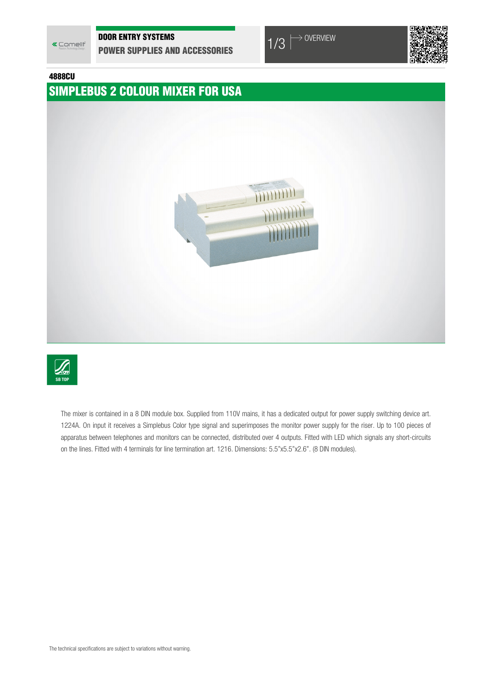

### DOOR ENTRY SYSTEMS

**DOOR ENTRY SYSTEMS**<br> **POWER SUPPLIES AND ACCESSORIES**  $1/3$   $\rightarrow$  <sup>OVERVIEW</sup>



#### 4888CU

## SIMPLEBUS 2 COLOUR MIXER FOR USA





The mixer is contained in a 8 DIN module box. Supplied from 110V mains, it has a dedicated output for power supply switching device art. 1224A. On input it receives a Simplebus Color type signal and superimposes the monitor power supply for the riser. Up to 100 pieces of apparatus between telephones and monitors can be connected, distributed over 4 outputs. Fitted with LED which signals any short-circuits on the lines. Fitted with 4 terminals for line termination art. 1216. Dimensions: 5.5"x5.5"x2.6". (8 DIN modules).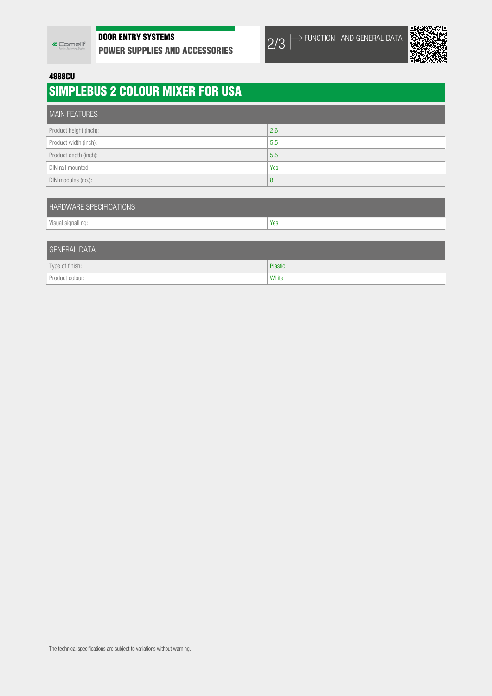## DOOR ENTRY SYSTEMS

DOOR ENTRY SYSTEMS<br>Power supplies and accessories 2/3





4888CU

# SIMPLEBUS 2 COLOUR MIXER FOR USA

| <b>MAIN FEATURES</b>   |     |
|------------------------|-----|
| Product height (inch): | 2.6 |
| Product width (inch):  | 5.5 |
| Product depth (inch):  | 5.5 |
| DIN rail mounted:      | Yes |
| DIN modules (no.):     | 8   |

| <b>HARDWARE SPECIFICATIONS</b> |     |  |
|--------------------------------|-----|--|
| Visual signalling:             | Yes |  |
|                                |     |  |

| GENERAL DATA    |         |
|-----------------|---------|
| Type of finish: | Plastic |
| Product colour: | White   |